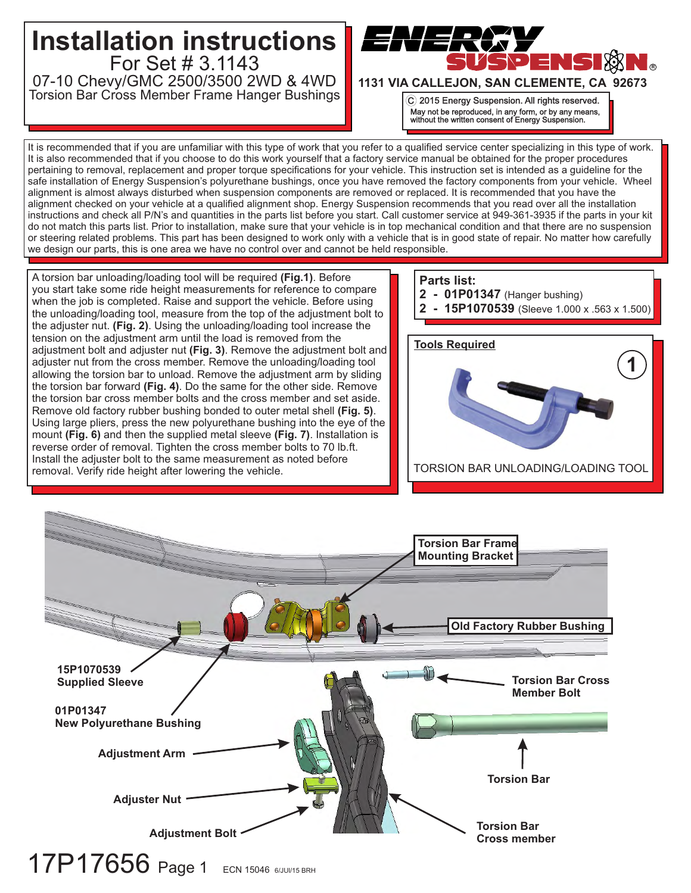

It is recommended that if you are unfamiliar with this type of work that you refer to a qualified service center specializing in this type of work. It is also recommended that if you choose to do this work yourself that a factory service manual be obtained for the proper procedures pertaining to removal, replacement and proper torque specifications for your vehicle. This instruction set is intended as a guideline for the safe installation of Energy Suspension's polyurethane bushings, once you have removed the factory components from your vehicle. Wheel alignment is almost always disturbed when suspension components are removed or replaced. It is recommended that you have the alignment checked on your vehicle at a qualified alignment shop. Energy Suspension recommends that you read over all the installation instructions and check all P/N's and quantities in the parts list before you start. Call customer service at 949-361-3935 if the parts in your kit do not match this parts list. Prior to installation, make sure that your vehicle is in top mechanical condition and that there are no suspension or steering related problems. This part has been designed to work only with a vehicle that is in good state of repair. No matter how carefully we design our parts, this is one area we have no control over and cannot be held responsible.

A torsion bar unloading/loading tool will be required **(Fig.1)**. Before you start take some ride height measurements for reference to compare when the job is completed. Raise and support the vehicle. Before using the unloading/loading tool, measure from the top of the adjustment bolt to the adjuster nut. **(Fig. 2)**. Using the unloading/loading tool increase the tension on the adjustment arm until the load is removed from the adjustment bolt and adjuster nut **(Fig. 3)**. Remove the adjustment bolt and adjuster nut from the cross member. Remove the unloading/loading tool allowing the torsion bar to unload. Remove the adjustment arm by sliding the torsion bar forward **(Fig. 4)**. Do the same for the other side. Remove the torsion bar cross member bolts and the cross member and set aside. Remove old factory rubber bushing bonded to outer metal shell **(Fig. 5)**. Using large pliers, press the new polyurethane bushing into the eye of the mount **(Fig. 6)** and then the supplied metal sleeve **(Fig. 7)**. Installation is reverse order of removal. Tighten the cross member bolts to 70 lb.ft. Install the adjuster bolt to the same measurement as noted before removal. Verify ride height after lowering the vehicle.

## **Parts list:**

- **2 01P01347** (Hanger bushing)
- **2 15P1070539** (Sleeve 1.000 x .563 x 1.500)